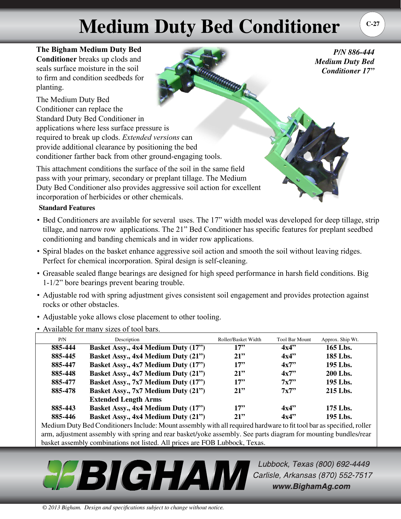## **Medium Duty Bed Conditioner**

**The Bigham Medium Duty Bed Conditioner** breaks up clods and seals surface moisture in the soil to firm and condition seedbeds for planting.

The Medium Duty Bed Conditioner can replace the Standard Duty Bed Conditioner in applications where less surface pressure is required to break up clods. *Extended versions* can provide additional clearance by positioning the bed conditioner farther back from other ground-engaging tools.

This attachment conditions the surface of the soil in the same field pass with your primary, secondary or preplant tillage. The Medium Duty Bed Conditioner also provides aggressive soil action for excellent incorporation of herbicides or other chemicals.

## **Standard Features**

- Bed Conditioners are available for several uses. The 17" width model was developed for deep tillage, strip tillage, and narrow row applications. The 21" Bed Conditioner has specific features for preplant seedbed conditioning and banding chemicals and in wider row applications.
- Spiral blades on the basket enhance aggressive soil action and smooth the soil without leaving ridges. Perfect for chemical incorporation. Spiral design is self-cleaning.
- Greasable sealed flange bearings are designed for high speed performance in harsh field conditions. Big 1-1/2" bore bearings prevent bearing trouble.
- Adjustable rod with spring adjustment gives consistent soil engagement and provides protection against rocks or other obstacles.
- Adjustable yoke allows close placement to other tooling.
- Available for many sizes of tool bars.

| P/N     | Description                         | Roller/Basket Width | <b>Tool Bar Mount</b> | Approx. Ship Wt. |
|---------|-------------------------------------|---------------------|-----------------------|------------------|
| 885-444 | Basket Assy., 4x4 Medium Duty (17") | 17"                 | 4x4"                  | 165 Lbs.         |
| 885-445 | Basket Assy., 4x4 Medium Duty (21") | 21                  | 4x4"                  | 185 Lbs.         |
| 885-447 | Basket Assy., 4x7 Medium Duty (17") | 17"                 | 4x7"                  | 195 Lbs.         |
| 885-448 | Basket Assy., 4x7 Medium Duty (21") | 21                  | 4x7"                  | 200 Lbs.         |
| 885-477 | Basket Assy., 7x7 Medium Duty (17") | 17"                 | 7x7                   | 195 Lbs.         |
| 885-478 | Basket Assy., 7x7 Medium Duty (21") | 21                  | 7x7                   | 215 Lbs.         |
|         | <b>Extended Length Arms</b>         |                     |                       |                  |
| 885-443 | Basket Assy., 4x4 Medium Duty (17") | 17"                 | 4x4"                  | $175$ Lbs.       |
| 885-446 | Basket Assy., 4x4 Medium Duty (21") | 21                  | 4x4"                  | 195 Lbs.         |

Medium Duty Bed Conditioners Include: Mount assembly with all required hardware to fit tool bar as specified, roller arm, adjustment assembly with spring and rear basket/yoke assembly. See parts diagram for mounting bundles/rear basket assembly combinations not listed. All prices are FOB Lubbock, Texas.

**PEBIGHAW** Carlisle, Arkansas (870) 552-7517 www.BighamAg.com

Lubbock, Texas (800) 692-4449

*P/N 886-444* 

*Medium Duty Bed Conditioner 17"*